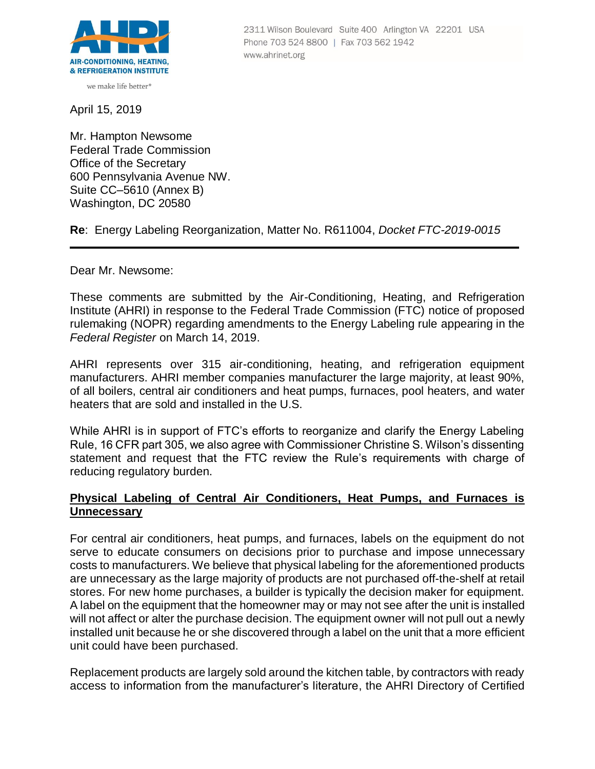

we make life better<sup>®</sup>

April 15, 2019

Mr. Hampton Newsome Federal Trade Commission Office of the Secretary 600 Pennsylvania Avenue NW. Suite CC–5610 (Annex B) Washington, DC 20580

**Re**: Energy Labeling Reorganization, Matter No. R611004, *Docket FTC-2019-0015*

Dear Mr. Newsome:

These comments are submitted by the Air-Conditioning, Heating, and Refrigeration Institute (AHRI) in response to the Federal Trade Commission (FTC) notice of proposed rulemaking (NOPR) regarding amendments to the Energy Labeling rule appearing in the *Federal Register* on March 14, 2019.

AHRI represents over 315 air-conditioning, heating, and refrigeration equipment manufacturers. AHRI member companies manufacturer the large majority, at least 90%, of all boilers, central air conditioners and heat pumps, furnaces, pool heaters, and water heaters that are sold and installed in the U.S.

While AHRI is in support of FTC's efforts to reorganize and clarify the Energy Labeling Rule, 16 CFR part 305, we also agree with Commissioner Christine S. Wilson's dissenting statement and request that the FTC review the Rule's requirements with charge of reducing regulatory burden.

## **Physical Labeling of Central Air Conditioners, Heat Pumps, and Furnaces is Unnecessary**

For central air conditioners, heat pumps, and furnaces, labels on the equipment do not serve to educate consumers on decisions prior to purchase and impose unnecessary costs to manufacturers. We believe that physical labeling for the aforementioned products are unnecessary as the large majority of products are not purchased off-the-shelf at retail stores. For new home purchases, a builder is typically the decision maker for equipment. A label on the equipment that the homeowner may or may not see after the unit is installed will not affect or alter the purchase decision. The equipment owner will not pull out a newly installed unit because he or she discovered through a label on the unit that a more efficient unit could have been purchased.

Replacement products are largely sold around the kitchen table, by contractors with ready access to information from the manufacturer's literature, the AHRI Directory of Certified